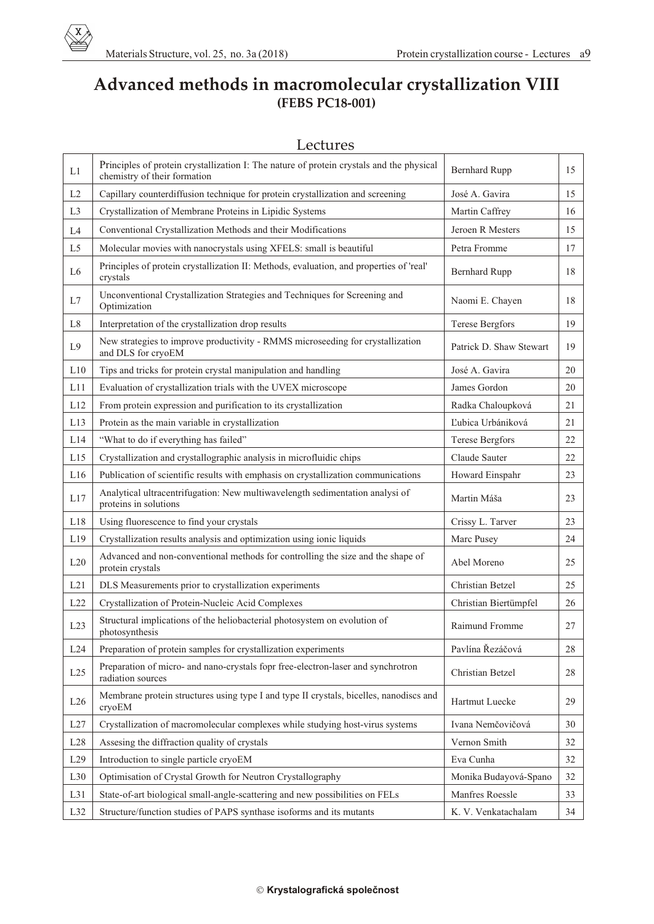

## **Advanced methods in macromolecular crystallization VIII (FEBS PC18-001)**

| Lectures |
|----------|
|----------|

| L1             | Principles of protein crystallization I: The nature of protein crystals and the physical<br>chemistry of their formation | <b>Bernhard Rupp</b>    | 15     |
|----------------|--------------------------------------------------------------------------------------------------------------------------|-------------------------|--------|
| L2             | Capillary counterdiffusion technique for protein crystallization and screening                                           | José A. Gavira          | 15     |
| L <sub>3</sub> | Crystallization of Membrane Proteins in Lipidic Systems                                                                  | Martin Caffrey          | 16     |
| L4             | Conventional Crystallization Methods and their Modifications                                                             | Jeroen R Mesters        | 15     |
| L5             | Molecular movies with nanocrystals using XFELS: small is beautiful                                                       | Petra Fromme            | 17     |
| L6             | Principles of protein crystallization II: Methods, evaluation, and properties of 'real'<br>crystals                      | <b>Bernhard Rupp</b>    | 18     |
| L7             | Unconventional Crystallization Strategies and Techniques for Screening and<br>Optimization                               | Naomi E. Chayen         | 18     |
| L <sub>8</sub> | Interpretation of the crystallization drop results                                                                       | <b>Terese Bergfors</b>  | 19     |
| L <sub>9</sub> | New strategies to improve productivity - RMMS microseeding for crystallization<br>and DLS for cryoEM                     | Patrick D. Shaw Stewart | 19     |
| L10            | Tips and tricks for protein crystal manipulation and handling                                                            | José A. Gavira          | 20     |
| L11            | Evaluation of crystallization trials with the UVEX microscope                                                            | James Gordon            | 20     |
| L12            | From protein expression and purification to its crystallization                                                          | Radka Chaloupková       | 21     |
| L13            | Protein as the main variable in crystallization                                                                          | Ľubica Urbániková       | 21     |
| L14            | "What to do if everything has failed"                                                                                    | <b>Terese Bergfors</b>  | 22     |
| L15            | Crystallization and crystallographic analysis in microfluidic chips                                                      | Claude Sauter           | 22     |
| L16            | Publication of scientific results with emphasis on crystallization communications                                        | Howard Einspahr         | 23     |
| L17            | Analytical ultracentrifugation: New multiwavelength sedimentation analysi of<br>proteins in solutions                    | Martin Máša             | 23     |
| L18            | Using fluorescence to find your crystals                                                                                 | Crissy L. Tarver        | 23     |
| L19            | Crystallization results analysis and optimization using ionic liquids                                                    | Marc Pusey              | 24     |
| L20            | Advanced and non-conventional methods for controlling the size and the shape of<br>protein crystals                      | Abel Moreno             | 25     |
| L21            | DLS Measurements prior to crystallization experiments                                                                    | Christian Betzel        | 25     |
| L22            | Crystallization of Protein-Nucleic Acid Complexes                                                                        | Christian Biertümpfel   | 26     |
| L23            | Structural implications of the heliobacterial photosystem on evolution of<br>photosynthesis                              | Raimund Fromme          | 27     |
| L24            | Preparation of protein samples for crystallization experiments                                                           | Pavlína Řezáčová        | 28     |
| L25            | Preparation of micro- and nano-crystals fopr free-electron-laser and synchrotron<br>radiation sources                    | Christian Betzel        | $28\,$ |
| L26            | Membrane protein structures using type I and type II crystals, bicelles, nanodiscs and<br>cryoEM                         | Hartmut Luecke          | 29     |
| L27            | Crystallization of macromolecular complexes while studying host-virus systems                                            | Ivana Nemčovičová       | 30     |
| L28            | Assesing the diffraction quality of crystals                                                                             | Vernon Smith            | 32     |
| L29            | Introduction to single particle cryoEM                                                                                   | Eva Cunha               | 32     |
| L30            | Optimisation of Crystal Growth for Neutron Crystallography                                                               | Monika Budayová-Spano   | 32     |
| L31            | State-of-art biological small-angle-scattering and new possibilities on FELs                                             | Manfres Roessle         | 33     |
| L32            | Structure/function studies of PAPS synthase isoforms and its mutants                                                     | K. V. Venkatachalam     | 34     |